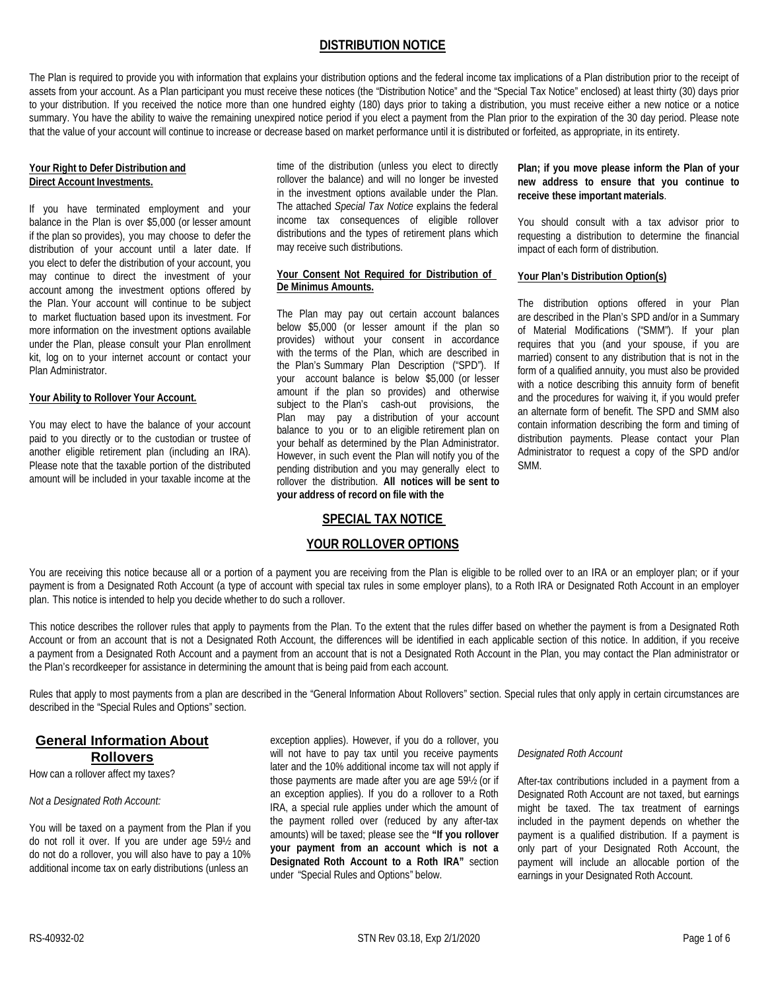# **DISTRIBUTION NOTICE**

The Plan is required to provide you with information that explains your distribution options and the federal income tax implications of a Plan distribution prior to the receipt of assets from your account. As a Plan participant you must receive these notices (the "Distribution Notice" and the "Special Tax Notice" enclosed) at least thirty (30) days prior to your distribution. If you received the notice more than one hundred eighty (180) days prior to taking a distribution, you must receive either a new notice or a notice summary. You have the ability to waive the remaining unexpired notice period if you elect a payment from the Plan prior to the expiration of the 30 day period. Please note that the value of your account will continue to increase or decrease based on market performance until it is distributed or forfeited, as appropriate, in its entirety.

# **Your Right to Defer Distribution and Direct Account Investments.**

If you have terminated employment and your balance in the Plan is over \$5,000 (or lesser amount if the plan so provides), you may choose to defer the distribution of your account until a later date. If you elect to defer the distribution of your account, you may continue to direct the investment of your account among the investment options offered by the Plan. Your account will continue to be subject to market fluctuation based upon its investment. For more information on the investment options available under the Plan, please consult your Plan enrollment kit, log on to your internet account or contact your Plan Administrator.

#### **Your Ability to Rollover Your Account.**

You may elect to have the balance of your account paid to you directly or to the custodian or trustee of another eligible retirement plan (including an IRA). Please note that the taxable portion of the distributed amount will be included in your taxable income at the

time of the distribution (unless you elect to directly rollover the balance) and will no longer be invested in the investment options available under the Plan. The attached *Special Tax Notice* explains the federal income tax consequences of eligible rollover distributions and the types of retirement plans which may receive such distributions.

# **Your Consent Not Required for Distribution of De Minimus Amounts.**

The Plan may pay out certain account balances below \$5,000 (or lesser amount if the plan so provides) without your consent in accordance with the terms of the Plan, which are described in the Plan's Summary Plan Description ("SPD"). If your account balance is below \$5,000 (or lesser amount if the plan so provides) and otherwise subject to the Plan's cash-out provisions, the Plan may pay a distribution of your account balance to you or to an eligible retirement plan on your behalf as determined by the Plan Administrator. However, in such event the Plan will notify you of the pending distribution and you may generally elect to rollover the distribution. **All notices will be sent to your address of record on file with the**

# **Plan; if you move please inform the Plan of your new address to ensure that you continue to receive these important materials**.

You should consult with a tax advisor prior to requesting a distribution to determine the financial impact of each form of distribution.

## **Your Plan's Distribution Option(s)**

The distribution options offered in your Plan are described in the Plan's SPD and/or in a Summary of Material Modifications ("SMM"). If your plan requires that you (and your spouse, if you are married) consent to any distribution that is not in the form of a qualified annuity, you must also be provided with a notice describing this annuity form of benefit and the procedures for waiving it, if you would prefer an alternate form of benefit. The SPD and SMM also contain information describing the form and timing of distribution payments. Please contact your Plan Administrator to request a copy of the SPD and/or SMM.

# **SPECIAL TAX NOTICE**

# **YOUR ROLLOVER OPTIONS**

You are receiving this notice because all or a portion of a payment you are receiving from the Plan is eligible to be rolled over to an IRA or an employer plan; or if your payment is from a Designated Roth Account (a type of account with special tax rules in some employer plans), to a Roth IRA or Designated Roth Account in an employer plan. This notice is intended to help you decide whether to do such a rollover.

This notice describes the rollover rules that apply to payments from the Plan. To the extent that the rules differ based on whether the payment is from a Designated Roth Account or from an account that is not a Designated Roth Account, the differences will be identified in each applicable section of this notice. In addition, if you receive a payment from a Designated Roth Account and a payment from an account that is not a Designated Roth Account in the Plan, you may contact the Plan administrator or the Plan's recordkeeper for assistance in determining the amount that is being paid from each account.

Rules that apply to most payments from a plan are described in the "General Information About Rollovers" section. Special rules that only apply in certain circumstances are described in the "Special Rules and Options" section.

# **General Information About Rollovers**

How can a rollover affect my taxes?

#### *Not a Designated Roth Account:*

You will be taxed on a payment from the Plan if you do not roll it over. If you are under age 59½ and do not do a rollover, you will also have to pay a 10% additional income tax on early distributions (unless an

exception applies). However, if you do a rollover, you will not have to pay tax until you receive payments later and the 10% additional income tax will not apply if those payments are made after you are age 59½ (or if an exception applies). If you do a rollover to a Roth IRA, a special rule applies under which the amount of the payment rolled over (reduced by any after-tax amounts) will be taxed; please see the **"If you rollover your payment from an account which is not a Designated Roth Account to a Roth IRA"** section under "Special Rules and Options" below.

#### *Designated Roth Account*

After-tax contributions included in a payment from a Designated Roth Account are not taxed, but earnings might be taxed. The tax treatment of earnings included in the payment depends on whether the payment is a qualified distribution. If a payment is only part of your Designated Roth Account, the payment will include an allocable portion of the earnings in your Designated Roth Account.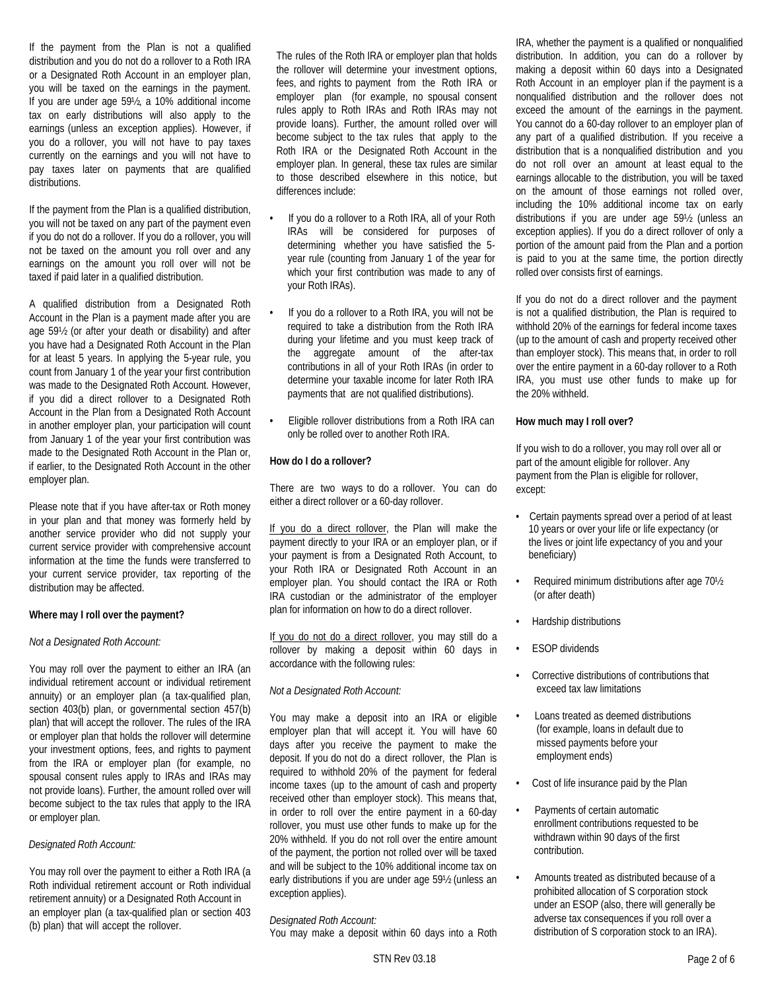If the payment from the Plan is not a qualified distribution and you do not do a rollover to a Roth IRA or a Designated Roth Account in an employer plan, you will be taxed on the earnings in the payment. If you are under age 59½, a 10% additional income tax on early distributions will also apply to the earnings (unless an exception applies). However, if you do a rollover, you will not have to pay taxes currently on the earnings and you will not have to pay taxes later on payments that are qualified distributions.

If the payment from the Plan is a qualified distribution, you will not be taxed on any part of the payment even if you do not do a rollover. If you do a rollover, you will not be taxed on the amount you roll over and any earnings on the amount you roll over will not be taxed if paid later in a qualified distribution.

A qualified distribution from a Designated Roth Account in the Plan is a payment made after you are age 59½ (or after your death or disability) and after you have had a Designated Roth Account in the Plan for at least 5 years. In applying the 5-year rule, you count from January 1 of the year your first contribution was made to the Designated Roth Account. However, if you did a direct rollover to a Designated Roth Account in the Plan from a Designated Roth Account in another employer plan, your participation will count from January 1 of the year your first contribution was made to the Designated Roth Account in the Plan or, if earlier, to the Designated Roth Account in the other employer plan.

Please note that if you have after-tax or Roth money in your plan and that money was formerly held by another service provider who did not supply your current service provider with comprehensive account information at the time the funds were transferred to your current service provider, tax reporting of the distribution may be affected.

#### **Where may I roll over the payment?**

#### *Not a Designated Roth Account:*

You may roll over the payment to either an IRA (an individual retirement account or individual retirement annuity) or an employer plan (a tax-qualified plan, section 403(b) plan, or governmental section 457(b) plan) that will accept the rollover. The rules of the IRA or employer plan that holds the rollover will determine your investment options, fees, and rights to payment from the IRA or employer plan (for example, no spousal consent rules apply to IRAs and IRAs may not provide loans). Further, the amount rolled over will become subject to the tax rules that apply to the IRA or employer plan.

#### *Designated Roth Account:*

You may roll over the payment to either a Roth IRA (a Roth individual retirement account or Roth individual retirement annuity) or a Designated Roth Account in an employer plan (a tax-qualified plan or section 403 (b) plan) that will accept the rollover.

The rules of the Roth IRA or employer plan that holds the rollover will determine your investment options, fees, and rights to payment from the Roth IRA or employer plan (for example, no spousal consent rules apply to Roth IRAs and Roth IRAs may not provide loans). Further, the amount rolled over will become subject to the tax rules that apply to the Roth IRA or the Designated Roth Account in the employer plan. In general, these tax rules are similar to those described elsewhere in this notice, but differences include:

- If you do a rollover to a Roth IRA, all of your Roth IRAs will be considered for purposes of determining whether you have satisfied the 5 year rule (counting from January 1 of the year for which your first contribution was made to any of your Roth IRAs).
- If you do a rollover to a Roth IRA, you will not be required to take a distribution from the Roth IRA during your lifetime and you must keep track of the aggregate amount of the after-tax contributions in all of your Roth IRAs (in order to determine your taxable income for later Roth IRA payments that are not qualified distributions).
- Eligible rollover distributions from a Roth IRA can only be rolled over to another Roth IRA.

## **How do I do a rollover?**

There are two ways to do a rollover. You can do either a direct rollover or a 60-day rollover.

If you do a direct rollover, the Plan will make the payment directly to your IRA or an employer plan, or if your payment is from a Designated Roth Account, to your Roth IRA or Designated Roth Account in an employer plan. You should contact the IRA or Roth IRA custodian or the administrator of the employer plan for information on how to do a direct rollover.

If you do not do a direct rollover, you may still do a rollover by making a deposit within 60 days in accordance with the following rules:

# *Not a Designated Roth Account:*

You may make a deposit into an IRA or eligible employer plan that will accept it. You will have 60 days after you receive the payment to make the deposit. If you do not do a direct rollover, the Plan is required to withhold 20% of the payment for federal income taxes (up to the amount of cash and property received other than employer stock). This means that, in order to roll over the entire payment in a 60-day rollover, you must use other funds to make up for the 20% withheld. If you do not roll over the entire amount of the payment, the portion not rolled over will be taxed and will be subject to the 10% additional income tax on early distributions if you are under age 59½ (unless an exception applies).

# *Designated Roth Account:*

You may make a deposit within 60 days into a Roth

IRA, whether the payment is a qualified or nonqualified distribution. In addition, you can do a rollover by making a deposit within 60 days into a Designated Roth Account in an employer plan if the payment is a nonqualified distribution and the rollover does not exceed the amount of the earnings in the payment. You cannot do a 60-day rollover to an employer plan of any part of a qualified distribution. If you receive a distribution that is a nonqualified distribution and you do not roll over an amount at least equal to the earnings allocable to the distribution, you will be taxed on the amount of those earnings not rolled over, including the 10% additional income tax on early distributions if you are under age 59½ (unless an exception applies). If you do a direct rollover of only a portion of the amount paid from the Plan and a portion is paid to you at the same time, the portion directly rolled over consists first of earnings.

If you do not do a direct rollover and the payment is not a qualified distribution, the Plan is required to withhold 20% of the earnings for federal income taxes (up to the amount of cash and property received other than employer stock). This means that, in order to roll over the entire payment in a 60-day rollover to a Roth IRA, you must use other funds to make up for the 20% withheld.

## **How much may I roll over?**

If you wish to do a rollover, you may roll over all or part of the amount eligible for rollover. Any payment from the Plan is eligible for rollover, except:

- Certain payments spread over a period of at least 10 years or over your life or life expectancy (or the lives or joint life expectancy of you and your beneficiary)
- Required minimum distributions after age 70½ (or after death)
- Hardship distributions
- **ESOP** dividends
- Corrective distributions of contributions that exceed tax law limitations
- Loans treated as deemed distributions (for example, loans in default due to missed payments before your employment ends)
- Cost of life insurance paid by the Plan
- Payments of certain automatic enrollment contributions requested to be withdrawn within 90 days of the first contribution.
- Amounts treated as distributed because of a prohibited allocation of S corporation stock under an ESOP (also, there will generally be adverse tax consequences if you roll over a distribution of S corporation stock to an IRA).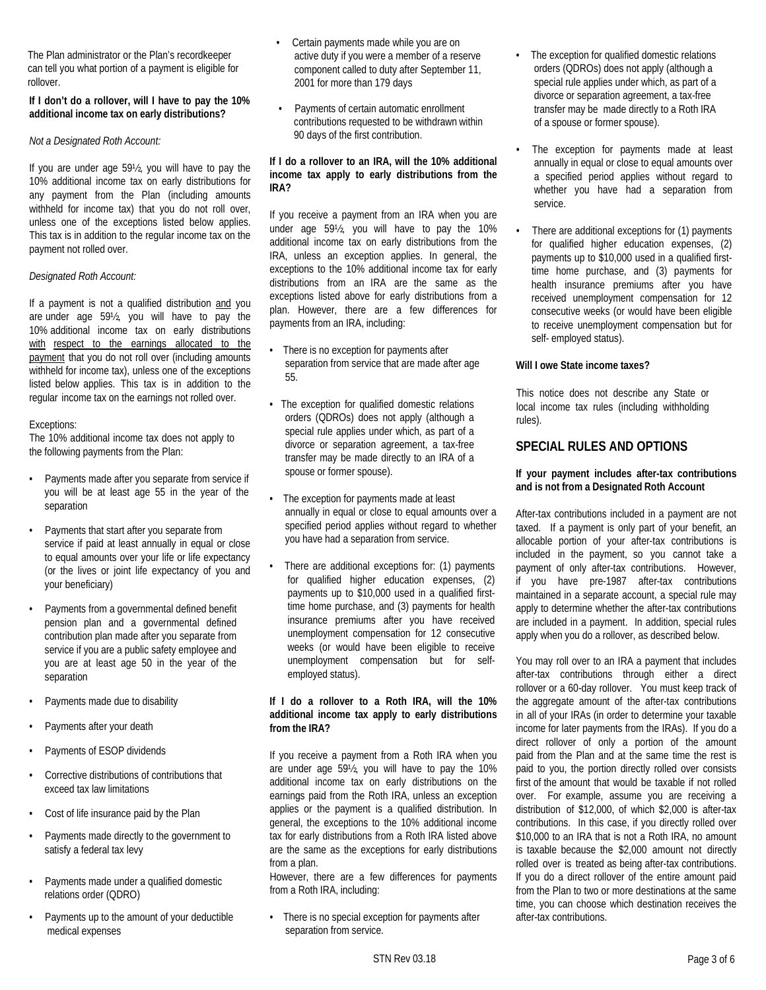The Plan administrator or the Plan's recordkeeper can tell you what portion of a payment is eligible for rollover.

# **If I don't do a rollover, will I have to pay the 10% additional income tax on early distributions?**

## *Not a Designated Roth Account:*

If you are under age 59½, you will have to pay the 10% additional income tax on early distributions for any payment from the Plan (including amounts withheld for income tax) that you do not roll over, unless one of the exceptions listed below applies. This tax is in addition to the regular income tax on the payment not rolled over.

# *Designated Roth Account:*

If a payment is not a qualified distribution and you are under age 59½, you will have to pay the 10% additional income tax on early distributions with respect to the earnings allocated to the payment that you do not roll over (including amounts withheld for income tax), unless one of the exceptions listed below applies. This tax is in addition to the regular income tax on the earnings not rolled over.

# Exceptions:

The 10% additional income tax does not apply to the following payments from the Plan:

- Payments made after you separate from service if you will be at least age 55 in the year of the separation
- Payments that start after you separate from service if paid at least annually in equal or close to equal amounts over your life or life expectancy (or the lives or joint life expectancy of you and your beneficiary)
- Payments from a governmental defined benefit pension plan and a governmental defined contribution plan made after you separate from service if you are a public safety employee and you are at least age 50 in the year of the separation
- Payments made due to disability
- Payments after your death
- Payments of ESOP dividends
- Corrective distributions of contributions that exceed tax law limitations
- Cost of life insurance paid by the Plan
- Payments made directly to the government to satisfy a federal tax levy
- Payments made under a qualified domestic relations order (QDRO)
- Payments up to the amount of your deductible medical expenses
- Certain payments made while you are on active duty if you were a member of a reserve component called to duty after September 11, 2001 for more than 179 days
- Payments of certain automatic enrollment contributions requested to be withdrawn within 90 days of the first contribution.

# **If I do a rollover to an IRA, will the 10% additional income tax apply to early distributions from the IRA?**

If you receive a payment from an IRA when you are under age 59½, you will have to pay the 10% additional income tax on early distributions from the IRA, unless an exception applies. In general, the exceptions to the 10% additional income tax for early distributions from an IRA are the same as the exceptions listed above for early distributions from a plan. However, there are a few differences for payments from an IRA, including:

- There is no exception for payments after separation from service that are made after age 55.
- The exception for qualified domestic relations orders (QDROs) does not apply (although a special rule applies under which, as part of a divorce or separation agreement, a tax-free transfer may be made directly to an IRA of a spouse or former spouse).
- The exception for payments made at least annually in equal or close to equal amounts over a specified period applies without regard to whether you have had a separation from service.
- There are additional exceptions for: (1) payments for qualified higher education expenses, (2) payments up to \$10,000 used in a qualified firsttime home purchase, and (3) payments for health insurance premiums after you have received unemployment compensation for 12 consecutive weeks (or would have been eligible to receive unemployment compensation but for selfemployed status).

# **If I do a rollover to a Roth IRA, will the 10% additional income tax apply to early distributions from the IRA?**

If you receive a payment from a Roth IRA when you are under age 59½, you will have to pay the 10% additional income tax on early distributions on the earnings paid from the Roth IRA, unless an exception applies or the payment is a qualified distribution. In general, the exceptions to the 10% additional income tax for early distributions from a Roth IRA listed above are the same as the exceptions for early distributions from a plan.

However, there are a few differences for payments from a Roth IRA, including:

• There is no special exception for payments after separation from service.

- The exception for qualified domestic relations orders (QDROs) does not apply (although a special rule applies under which, as part of a divorce or separation agreement, a tax-free transfer may be made directly to a Roth IRA of a spouse or former spouse).
- The exception for payments made at least annually in equal or close to equal amounts over a specified period applies without regard to whether you have had a separation from service.
- There are additional exceptions for (1) payments for qualified higher education expenses, (2) payments up to \$10,000 used in a qualified firsttime home purchase, and (3) payments for health insurance premiums after you have received unemployment compensation for 12 consecutive weeks (or would have been eligible to receive unemployment compensation but for self- employed status).

# **Will I owe State income taxes?**

This notice does not describe any State or local income tax rules (including withholding rules).

# **SPECIAL RULES AND OPTIONS**

# **If your payment includes after-tax contributions and is not from a Designated Roth Account**

After-tax contributions included in a payment are not taxed. If a payment is only part of your benefit, an allocable portion of your after-tax contributions is included in the payment, so you cannot take a payment of only after-tax contributions. However, if you have pre-1987 after-tax contributions maintained in a separate account, a special rule may apply to determine whether the after-tax contributions are included in a payment. In addition, special rules apply when you do a rollover, as described below.

You may roll over to an IRA a payment that includes after-tax contributions through either a direct rollover or a 60-day rollover. You must keep track of the aggregate amount of the after-tax contributions in all of your IRAs (in order to determine your taxable income for later payments from the IRAs). If you do a direct rollover of only a portion of the amount paid from the Plan and at the same time the rest is paid to you, the portion directly rolled over consists first of the amount that would be taxable if not rolled over. For example, assume you are receiving a distribution of \$12,000, of which \$2,000 is after-tax contributions. In this case, if you directly rolled over \$10,000 to an IRA that is not a Roth IRA, no amount is taxable because the \$2,000 amount not directly rolled over is treated as being after-tax contributions. If you do a direct rollover of the entire amount paid from the Plan to two or more destinations at the same time, you can choose which destination receives the after-tax contributions.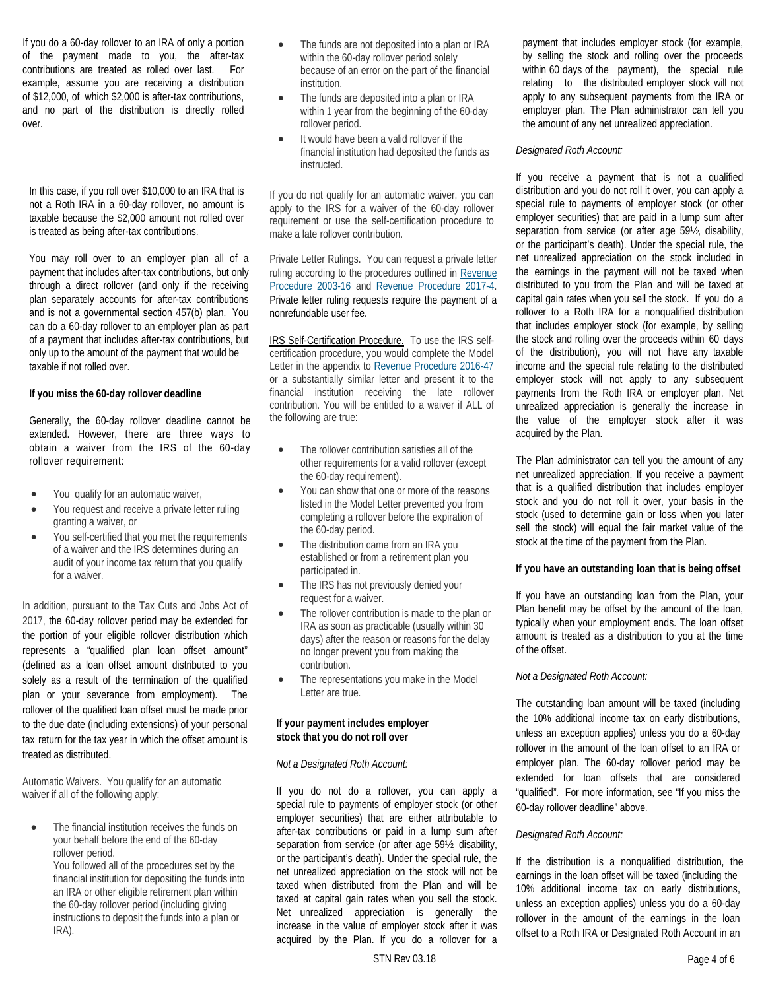If you do a 60-day rollover to an IRA of only a portion of the payment made to you, the after-tax contributions are treated as rolled over last. For example, assume you are receiving a distribution of \$12,000, of which \$2,000 is after-tax contributions, and no part of the distribution is directly rolled over.

In this case, if you roll over \$10,000 to an IRA that is not a Roth IRA in a 60-day rollover, no amount is taxable because the \$2,000 amount not rolled over is treated as being after-tax contributions.

You may roll over to an employer plan all of a payment that includes after-tax contributions, but only through a direct rollover (and only if the receiving plan separately accounts for after-tax contributions and is not a governmental section 457(b) plan. You can do a 60-day rollover to an employer plan as part of a payment that includes after-tax contributions, but only up to the amount of the payment that would be taxable if not rolled over.

# **If you miss the 60-day rollover deadline**

Generally, the 60-day rollover deadline cannot be extended. However, there are three ways to obtain a waiver from the IRS of the 60-day rollover requirement:

- You qualify for an automatic waiver,
- You request and receive a private letter ruling granting a waiver, or
- You self-certified that you met the requirements of a waiver and the IRS determines during an audit of your income tax return that you qualify for a waiver.

In addition, pursuant to the Tax Cuts and Jobs Act of 2017, the 60-day rollover period may be extended for the portion of your eligible rollover distribution which represents a "qualified plan loan offset amount" (defined as a loan offset amount distributed to you solely as a result of the termination of the qualified plan or your severance from employment). The rollover of the qualified loan offset must be made prior to the due date (including extensions) of your personal tax return for the tax year in which the offset amount is treated as distributed.

Automatic Waivers. You qualify for an automatic waiver if all of the following apply:

The financial institution receives the funds on your behalf before the end of the 60-day rollover period.

> You followed all of the procedures set by the financial institution for depositing the funds into an IRA or other eligible retirement plan within the 60-day rollover period (including giving instructions to deposit the funds into a plan or IRA).

- The funds are not deposited into a plan or IRA within the 60-day rollover period solely because of an error on the part of the financial institution.
- The funds are deposited into a plan or IRA within 1 year from the beginning of the 60-day rollover period.
- It would have been a valid rollover if the financial institution had deposited the funds as instructed.

If you do not qualify for an automatic waiver, you can apply to the IRS for a waiver of the 60-day rollover requirement or use the self-certification procedure to make a late rollover contribution.

Private Letter Rulings. You can request a private letter ruling according to the procedures outlined in Revenue [Procedure 2003-16](https://www.irs.gov/pub/irs-irbs/irb03-04.pdf) and [Revenue Procedure 2017-4.](https://www.irs.gov/irb/2017-01_IRB/ar10.html)  Private letter ruling requests require the payment of a nonrefundable user fee.

IRS Self-Certification Procedure. To use the IRS selfcertification procedure, you would complete the Model Letter in the appendix to [Revenue Procedure 2016-47](https://www.irs.gov/pub/irs-drop/rp-16-47.pdf) or a substantially similar letter and present it to the financial institution receiving the late rollover contribution. You will be entitled to a waiver if ALL of the following are true:

- The rollover contribution satisfies all of the other requirements for a valid rollover (except the 60-day requirement).
- You can show that one or more of the reasons listed in the Model Letter prevented you from completing a rollover before the expiration of the 60-day period.
- The distribution came from an IRA you established or from a retirement plan you participated in.
- The IRS has not previously denied your request for a waiver.
- The rollover contribution is made to the plan or IRA as soon as practicable (usually within 30 days) after the reason or reasons for the delay no longer prevent you from making the contribution.
- The representations you make in the Model Letter are true.

# **If your payment includes employer stock that you do not roll over**

#### *Not a Designated Roth Account:*

If you do not do a rollover, you can apply a special rule to payments of employer stock (or other employer securities) that are either attributable to after-tax contributions or paid in a lump sum after separation from service (or after age 59½, disability, or the participant's death). Under the special rule, the net unrealized appreciation on the stock will not be taxed when distributed from the Plan and will be taxed at capital gain rates when you sell the stock. Net unrealized appreciation is generally the increase in the value of employer stock after it was acquired by the Plan. If you do a rollover for a

payment that includes employer stock (for example, by selling the stock and rolling over the proceeds within 60 days of the payment), the special rule relating to the distributed employer stock will not apply to any subsequent payments from the IRA or employer plan. The Plan administrator can tell you the amount of any net unrealized appreciation.

# *Designated Roth Account:*

If you receive a payment that is not a qualified distribution and you do not roll it over, you can apply a special rule to payments of employer stock (or other employer securities) that are paid in a lump sum after separation from service (or after age 59½, disability, or the participant's death). Under the special rule, the net unrealized appreciation on the stock included in the earnings in the payment will not be taxed when distributed to you from the Plan and will be taxed at capital gain rates when you sell the stock. If you do a rollover to a Roth IRA for a nonqualified distribution that includes employer stock (for example, by selling the stock and rolling over the proceeds within 60 days of the distribution), you will not have any taxable income and the special rule relating to the distributed employer stock will not apply to any subsequent payments from the Roth IRA or employer plan. Net unrealized appreciation is generally the increase in the value of the employer stock after it was acquired by the Plan.

The Plan administrator can tell you the amount of any net unrealized appreciation. If you receive a payment that is a qualified distribution that includes employer stock and you do not roll it over, your basis in the stock (used to determine gain or loss when you later sell the stock) will equal the fair market value of the stock at the time of the payment from the Plan.

# **If you have an outstanding loan that is being offset**

If you have an outstanding loan from the Plan, your Plan benefit may be offset by the amount of the loan, typically when your employment ends. The loan offset amount is treated as a distribution to you at the time of the offset.

# *Not a Designated Roth Account:*

The outstanding loan amount will be taxed (including the 10% additional income tax on early distributions, unless an exception applies) unless you do a 60-day rollover in the amount of the loan offset to an IRA or employer plan. The 60-day rollover period may be extended for loan offsets that are considered "qualified". For more information, see "If you miss the 60-day rollover deadline" above.

# *Designated Roth Account:*

If the distribution is a nonqualified distribution, the earnings in the loan offset will be taxed (including the 10% additional income tax on early distributions, unless an exception applies) unless you do a 60-day rollover in the amount of the earnings in the loan offset to a Roth IRA or Designated Roth Account in an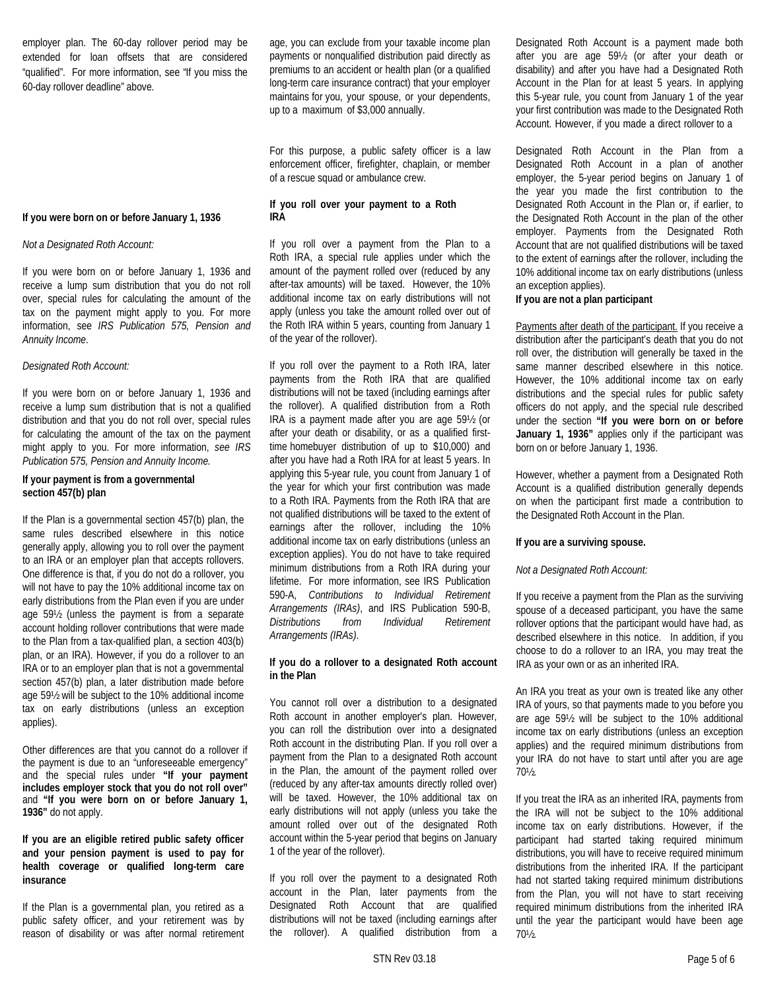employer plan. The 60-day rollover period may be extended for loan offsets that are considered "qualified". For more information, see "If you miss the 60-day rollover deadline" above.

# **If you were born on or before January 1, 1936**

#### *Not a Designated Roth Account:*

If you were born on or before January 1, 1936 and receive a lump sum distribution that you do not roll over, special rules for calculating the amount of the tax on the payment might apply to you. For more information, see *IRS Publication 575, Pension and Annuity Income*.

#### *Designated Roth Account:*

If you were born on or before January 1, 1936 and receive a lump sum distribution that is not a qualified distribution and that you do not roll over, special rules for calculating the amount of the tax on the payment might apply to you. For more information, *see IRS Publication 575, Pension and Annuity Income.*

#### **If your payment is from a governmental section 457(b) plan**

If the Plan is a governmental section 457(b) plan, the same rules described elsewhere in this notice generally apply, allowing you to roll over the payment to an IRA or an employer plan that accepts rollovers. One difference is that, if you do not do a rollover, you will not have to pay the 10% additional income tax on early distributions from the Plan even if you are under age 59½ (unless the payment is from a separate account holding rollover contributions that were made to the Plan from a tax-qualified plan, a section 403(b) plan, or an IRA). However, if you do a rollover to an IRA or to an employer plan that is not a governmental section 457(b) plan, a later distribution made before age 59½ will be subject to the 10% additional income tax on early distributions (unless an exception applies).

Other differences are that you cannot do a rollover if the payment is due to an "unforeseeable emergency" and the special rules under **"If your payment includes employer stock that you do not roll over"** and **"If you were born on or before January 1, 1936"** do not apply.

**If you are an eligible retired public safety officer and your pension payment is used to pay for health coverage or qualified long-term care insurance**

If the Plan is a governmental plan, you retired as a public safety officer, and your retirement was by reason of disability or was after normal retirement age, you can exclude from your taxable income plan payments or nonqualified distribution paid directly as premiums to an accident or health plan (or a qualified long-term care insurance contract) that your employer maintains for you, your spouse, or your dependents, up to a maximum of \$3,000 annually.

For this purpose, a public safety officer is a law enforcement officer, firefighter, chaplain, or member of a rescue squad or ambulance crew.

# **If you roll over your payment to a Roth IRA**

If you roll over a payment from the Plan to a Roth IRA, a special rule applies under which the amount of the payment rolled over (reduced by any after-tax amounts) will be taxed. However, the 10% additional income tax on early distributions will not apply (unless you take the amount rolled over out of the Roth IRA within 5 years, counting from January 1 of the year of the rollover).

If you roll over the payment to a Roth IRA, later payments from the Roth IRA that are qualified distributions will not be taxed (including earnings after the rollover). A qualified distribution from a Roth IRA is a payment made after you are age 59½ (or after your death or disability, or as a qualified firsttime homebuyer distribution of up to \$10,000) and after you have had a Roth IRA for at least 5 years. In applying this 5-year rule, you count from January 1 of the year for which your first contribution was made to a Roth IRA. Payments from the Roth IRA that are not qualified distributions will be taxed to the extent of earnings after the rollover, including the 10% additional income tax on early distributions (unless an exception applies). You do not have to take required minimum distributions from a Roth IRA during your lifetime. For more information, see IRS Publication 590-A, *Contributions to Individual Retirement Arrangements (IRAs)*, and IRS Publication 590-B, *Distributions from Individual Retirement Arrangements (IRAs)*.

## **If you do a rollover to a designated Roth account in the Plan**

You cannot roll over a distribution to a designated Roth account in another employer's plan. However, you can roll the distribution over into a designated Roth account in the distributing Plan. If you roll over a payment from the Plan to a designated Roth account in the Plan, the amount of the payment rolled over (reduced by any after-tax amounts directly rolled over) will be taxed. However, the 10% additional tax on early distributions will not apply (unless you take the amount rolled over out of the designated Roth account within the 5-year period that begins on January 1 of the year of the rollover).

If you roll over the payment to a designated Roth account in the Plan, later payments from the Designated Roth Account that are qualified distributions will not be taxed (including earnings after the rollover). A qualified distribution from a

Designated Roth Account is a payment made both after you are age 59½ (or after your death or disability) and after you have had a Designated Roth Account in the Plan for at least 5 years. In applying this 5-year rule, you count from January 1 of the year your first contribution was made to the Designated Roth Account. However, if you made a direct rollover to a

Designated Roth Account in the Plan from a Designated Roth Account in a plan of another employer, the 5-year period begins on January 1 of the year you made the first contribution to the Designated Roth Account in the Plan or, if earlier, to the Designated Roth Account in the plan of the other employer. Payments from the Designated Roth Account that are not qualified distributions will be taxed to the extent of earnings after the rollover, including the 10% additional income tax on early distributions (unless an exception applies).

#### **If you are not a plan participant**

Payments after death of the participant. If you receive a distribution after the participant's death that you do not roll over, the distribution will generally be taxed in the same manner described elsewhere in this notice. However, the 10% additional income tax on early distributions and the special rules for public safety officers do not apply, and the special rule described under the section **"If you were born on or before January 1, 1936"** applies only if the participant was born on or before January 1, 1936.

However, whether a payment from a Designated Roth Account is a qualified distribution generally depends on when the participant first made a contribution to the Designated Roth Account in the Plan.

### **If you are a surviving spouse.**

### *Not a Designated Roth Account:*

If you receive a payment from the Plan as the surviving spouse of a deceased participant, you have the same rollover options that the participant would have had, as described elsewhere in this notice. In addition, if you choose to do a rollover to an IRA, you may treat the IRA as your own or as an inherited IRA.

An IRA you treat as your own is treated like any other IRA of yours, so that payments made to you before you are age 59½ will be subject to the 10% additional income tax on early distributions (unless an exception applies) and the required minimum distributions from your IRA do not have to start until after you are age 70½.

If you treat the IRA as an inherited IRA, payments from the IRA will not be subject to the 10% additional income tax on early distributions. However, if the participant had started taking required minimum distributions, you will have to receive required minimum distributions from the inherited IRA. If the participant had not started taking required minimum distributions from the Plan, you will not have to start receiving required minimum distributions from the inherited IRA until the year the participant would have been age 70½.